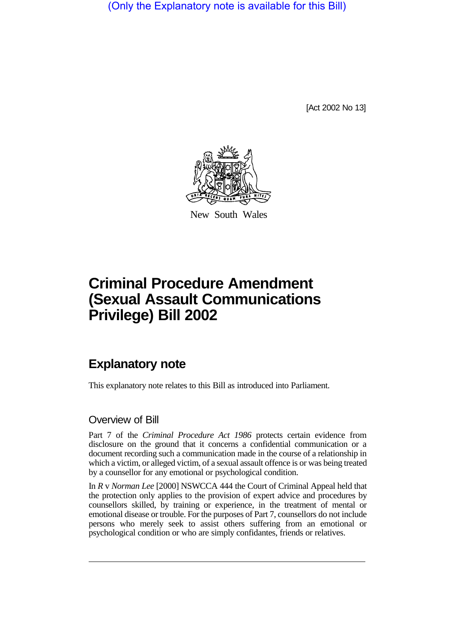(Only the Explanatory note is available for this Bill)

[Act 2002 No 13]



New South Wales

# **Criminal Procedure Amendment (Sexual Assault Communications Privilege) Bill 2002**

## **Explanatory note**

This explanatory note relates to this Bill as introduced into Parliament.

#### Overview of Bill

Part 7 of the *Criminal Procedure Act 1986* protects certain evidence from disclosure on the ground that it concerns a confidential communication or a document recording such a communication made in the course of a relationship in which a victim, or alleged victim, of a sexual assault offence is or was being treated by a counsellor for any emotional or psychological condition.

In *R* v *Norman Lee* [2000] NSWCCA 444 the Court of Criminal Appeal held that the protection only applies to the provision of expert advice and procedures by counsellors skilled, by training or experience, in the treatment of mental or emotional disease or trouble. For the purposes of Part 7, counsellors do not include persons who merely seek to assist others suffering from an emotional or psychological condition or who are simply confidantes, friends or relatives.